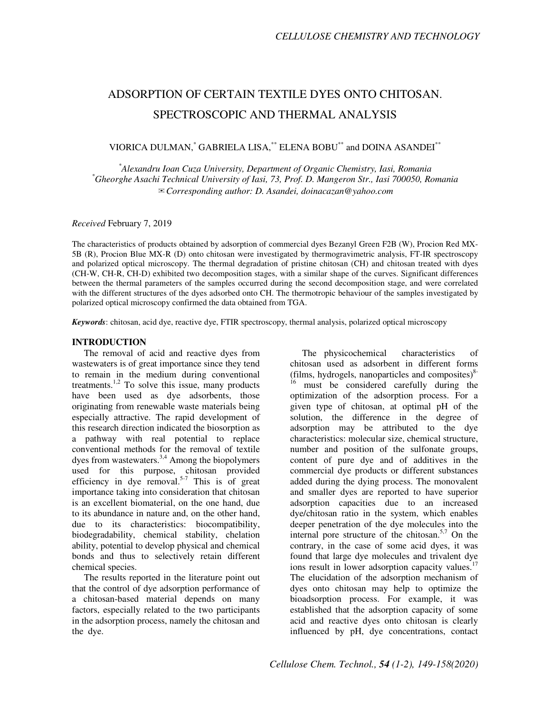# ADSORPTION OF CERTAIN TEXTILE DYES ONTO CHITOSAN. SPECTROSCOPIC AND THERMAL ANALYSIS

VIORICA DULMAN,\* GABRIELA LISA,\*\* ELENA BOBU\*\* and DOINA ASANDEI\*\*

*\* Alexandru Ioan Cuza University, Department of Organic Chemistry, Iasi, Romania \*Gheorghe Asachi Technical University of Iasi, 73, Prof. D. Mangeron Str., Iasi 700050, Romania*  ✉*Corresponding author: D. Asandei, doinacazan@yahoo.com* 

*Received* February 7, 2019

The characteristics of products obtained by adsorption of commercial dyes Bezanyl Green F2B (W), Procion Red MX-5B (R), Procion Blue MX-R (D) onto chitosan were investigated by thermogravimetric analysis, FT-IR spectroscopy and polarized optical microscopy. The thermal degradation of pristine chitosan (CH) and chitosan treated with dyes (CH-W, CH-R, CH-D) exhibited two decomposition stages, with a similar shape of the curves. Significant differences between the thermal parameters of the samples occurred during the second decomposition stage, and were correlated with the different structures of the dyes adsorbed onto CH. The thermotropic behaviour of the samples investigated by polarized optical microscopy confirmed the data obtained from TGA.

*Keywords*: chitosan, acid dye, reactive dye, FTIR spectroscopy, thermal analysis, polarized optical microscopy

#### **INTRODUCTION**

The removal of acid and reactive dyes from wastewaters is of great importance since they tend to remain in the medium during conventional treatments.<sup>1,2</sup> To solve this issue, many products have been used as dye adsorbents, those originating from renewable waste materials being especially attractive. The rapid development of this research direction indicated the biosorption as a pathway with real potential to replace conventional methods for the removal of textile dyes from wastewaters. $3,4$  Among the biopolymers used for this purpose, chitosan provided efficiency in dye removal.<sup>5-7</sup> This is of great importance taking into consideration that chitosan is an excellent biomaterial, on the one hand, due to its abundance in nature and, on the other hand, due to its characteristics: biocompatibility, biodegradability, chemical stability, chelation ability, potential to develop physical and chemical bonds and thus to selectively retain different chemical species.

The results reported in the literature point out that the control of dye adsorption performance of a chitosan-based material depends on many factors, especially related to the two participants in the adsorption process, namely the chitosan and the dye.

The physicochemical characteristics of chitosan used as adsorbent in different forms (films, hydrogels, nanoparticles and composites) $8<sup>8</sup>$ must be considered carefully during the optimization of the adsorption process. For a given type of chitosan, at optimal pH of the solution, the difference in the degree of adsorption may be attributed to the dye characteristics: molecular size, chemical structure, number and position of the sulfonate groups, content of pure dye and of additives in the commercial dye products or different substances added during the dying process. The monovalent and smaller dyes are reported to have superior adsorption capacities due to an increased dye/chitosan ratio in the system, which enables deeper penetration of the dye molecules into the internal pore structure of the chitosan.<sup>5,7</sup> On the contrary, in the case of some acid dyes, it was found that large dye molecules and trivalent dye ions result in lower adsorption capacity values. $17$ The elucidation of the adsorption mechanism of dyes onto chitosan may help to optimize the bioadsorption process. For example, it was established that the adsorption capacity of some acid and reactive dyes onto chitosan is clearly influenced by pH, dye concentrations, contact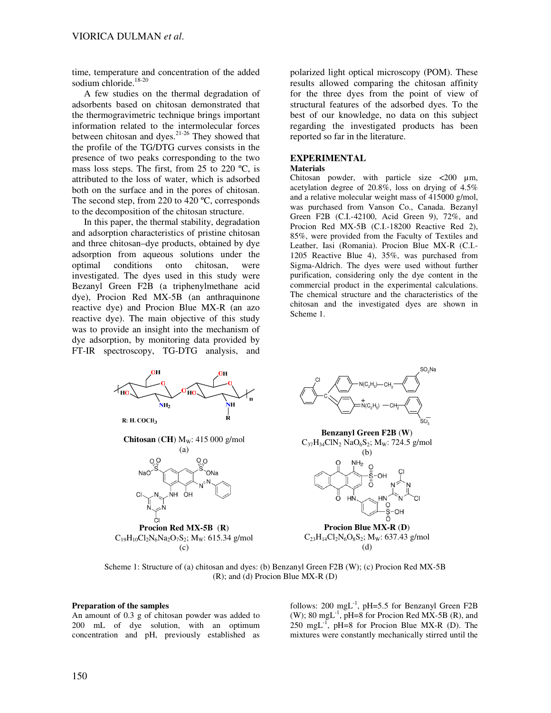time, temperature and concentration of the added sodium chloride.<sup>18-20</sup>

A few studies on the thermal degradation of adsorbents based on chitosan demonstrated that the thermogravimetric technique brings important information related to the intermolecular forces between chitosan and dyes. $2^{1-26}$  They showed that the profile of the TG/DTG curves consists in the presence of two peaks corresponding to the two mass loss steps. The first, from 25 to 220 ºC, is attributed to the loss of water, which is adsorbed both on the surface and in the pores of chitosan. The second step, from 220 to 420 °C, corresponds to the decomposition of the chitosan structure.

In this paper, the thermal stability, degradation and adsorption characteristics of pristine chitosan and three chitosan–dye products, obtained by dye adsorption from aqueous solutions under the optimal conditions onto chitosan, were investigated. The dyes used in this study were Bezanyl Green F2B (a triphenylmethane acid dye), Procion Red MX-5B (an anthraquinone reactive dye) and Procion Blue MX-R (an azo reactive dye). The main objective of this study was to provide an insight into the mechanism of dye adsorption, by monitoring data provided by FT-IR spectroscopy, TG-DTG analysis, and

polarized light optical microscopy (POM). These results allowed comparing the chitosan affinity for the three dyes from the point of view of structural features of the adsorbed dyes. To the best of our knowledge, no data on this subject regarding the investigated products has been reported so far in the literature.

## **EXPERIMENTAL**

#### **Materials**

Chitosan powder, with particle size  $\langle 200 \ \mu m \rangle$ acetylation degree of 20.8%, loss on drying of 4.5% and a relative molecular weight mass of 415000 g/mol, was purchased from Vanson Co., Canada. Bezanyl Green F2B (C.I.-42100, Acid Green 9), 72%, and Procion Red MX-5B (C.I.-18200 Reactive Red 2), 85%, were provided from the Faculty of Textiles and Leather, Iasi (Romania). Procion Blue MX-R (C.I.- 1205 Reactive Blue 4), 35%, was purchased from Sigma-Aldrich. The dyes were used without further purification, considering only the dye content in the commercial product in the experimental calculations. The chemical structure and the characteristics of the chitosan and the investigated dyes are shown in Scheme 1.





**Benzanyl Green F2B** (**W**)  $C_{37}H_{34}CIN_2 NaO_6S_2; M_W: 724.5 g/mol$ 



**Procion Blue MX-R** (**D**)  $C_{23}H_{14}Cl_2N_6O_8S_2$ ; M<sub>w</sub>: 637.43 g/mol (d)

Scheme 1: Structure of (a) chitosan and dyes: (b) Benzanyl Green F2B (W); (c) Procion Red MX-5B (R); and (d) Procion Blue MX-R (D)

#### **Preparation of the samples**

An amount of 0.3 g of chitosan powder was added to 200 mL of dye solution, with an optimum concentration and pH, previously established as follows: 200 mgL<sup>-1</sup>, pH=5.5 for Benzanyl Green F2B (W); 80 mgL<sup>-1</sup>, pH=8 for Procion Red MX-5B (R), and 250 mgL<sup>-1</sup>, pH=8 for Procion Blue MX-R (D). The mixtures were constantly mechanically stirred until the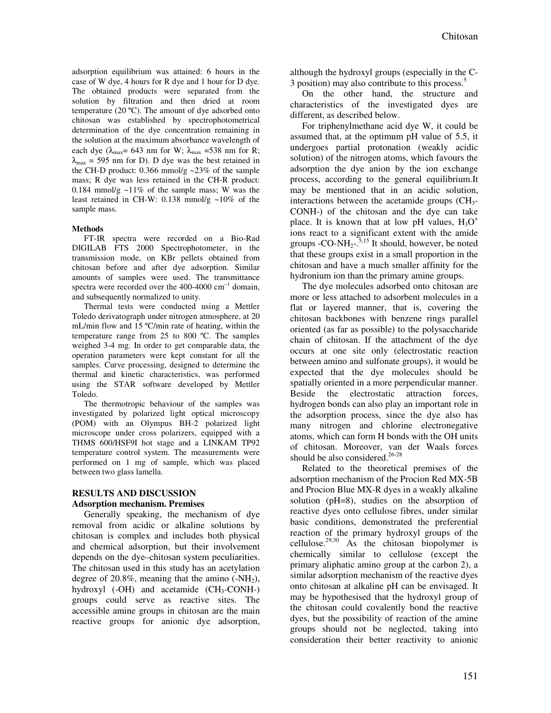adsorption equilibrium was attained: 6 hours in the case of W dye, 4 hours for R dye and 1 hour for D dye. The obtained products were separated from the solution by filtration and then dried at room temperature (20 ºC). The amount of dye adsorbed onto chitosan was established by spectrophotometrical determination of the dye concentration remaining in the solution at the maximum absorbance wavelength of each dye ( $\lambda_{\text{max}}$  = 643 nm for W;  $\lambda_{\text{max}}$  = 538 nm for R;  $\lambda_{\text{max}}$  = 595 nm for D). D dye was the best retained in the CH-D product:  $0.366$  mmol/g  $\sim$ 23% of the sample mass; R dye was less retained in the CH-R product: 0.184 mmol/g  $\sim$ 11% of the sample mass; W was the least retained in CH-W: 0.138 mmol/g  $\sim$ 10% of the sample mass.

#### **Methods**

FT-IR spectra were recorded on a Bio-Rad DIGILAB FTS 2000 Spectrophotometer, in the transmission mode, on KBr pellets obtained from chitosan before and after dye adsorption. Similar amounts of samples were used. The transmittance spectra were recorded over the  $400-4000$  cm<sup>-1</sup> domain, and subsequently normalized to unity.

Thermal tests were conducted using a Mettler Toledo derivatograph under nitrogen atmosphere, at 20 mL/min flow and 15 ºC/min rate of heating, within the temperature range from 25 to 800 ºC. The samples weighed 3-4 mg. In order to get comparable data, the operation parameters were kept constant for all the samples. Curve processing, designed to determine the thermal and kinetic characteristics, was performed using the STAR software developed by Mettler Toledo.

The thermotropic behaviour of the samples was investigated by polarized light optical microscopy (POM) with an Olympus BH-2 polarized light microscope under cross polarizers, equipped with a THMS 600/HSF9I hot stage and a LINKAM TP92 temperature control system. The measurements were performed on 1 mg of sample, which was placed between two glass lamella.

#### **RESULTS AND DISCUSSION Adsorption mechanism. Premises**

Generally speaking, the mechanism of dye removal from acidic or alkaline solutions by chitosan is complex and includes both physical and chemical adsorption, but their involvement depends on the dye–chitosan system peculiarities. The chitosan used in this study has an acetylation degree of  $20.8\%$ , meaning that the amino  $(-NH<sub>2</sub>)$ , hydroxyl  $(-OH)$  and acetamide  $(CH<sub>3</sub>-CONH-)$ groups could serve as reactive sites. The accessible amine groups in chitosan are the main reactive groups for anionic dye adsorption,

although the hydroxyl groups (especially in the C-3 position) may also contribute to this process.<sup>5</sup>

On the other hand, the structure and characteristics of the investigated dyes are different, as described below.

For triphenylmethane acid dye W, it could be assumed that, at the optimum pH value of 5.5, it undergoes partial protonation (weakly acidic solution) of the nitrogen atoms, which favours the adsorption the dye anion by the ion exchange process, according to the general equilibrium.It may be mentioned that in an acidic solution, interactions between the acetamide groups  $\rm (CH_{3}$ -CONH-) of the chitosan and the dye can take place. It is known that at low pH values,  $H_3O^+$ ions react to a significant extent with the amide groups - $CO-NH_2$ <sup>-5,15</sup> It should, however, be noted that these groups exist in a small proportion in the chitosan and have a much smaller affinity for the hydronium ion than the primary amine groups.

The dye molecules adsorbed onto chitosan are more or less attached to adsorbent molecules in a flat or layered manner, that is, covering the chitosan backbones with benzene rings parallel oriented (as far as possible) to the polysaccharide chain of chitosan. If the attachment of the dye occurs at one site only (electrostatic reaction between amino and sulfonate groups), it would be expected that the dye molecules should be spatially oriented in a more perpendicular manner. Beside the electrostatic attraction forces, hydrogen bonds can also play an important role in the adsorption process, since the dye also has many nitrogen and chlorine electronegative atoms, which can form H bonds with the OH units of chitosan. Moreover, van der Waals forces should be also considered. $26-28$ 

Related to the theoretical premises of the adsorption mechanism of the Procion Red MX-5B and Procion Blue MX-R dyes in a weakly alkaline solution (pH=8), studies on the absorption of reactive dyes onto cellulose fibres, under similar basic conditions, demonstrated the preferential reaction of the primary hydroxyl groups of the cellulose.29,30 As the chitosan biopolymer is chemically similar to cellulose (except the primary aliphatic amino group at the carbon 2), a similar adsorption mechanism of the reactive dyes onto chitosan at alkaline pH can be envisaged. It may be hypothesised that the hydroxyl group of the chitosan could covalently bond the reactive dyes, but the possibility of reaction of the amine groups should not be neglected, taking into consideration their better reactivity to anionic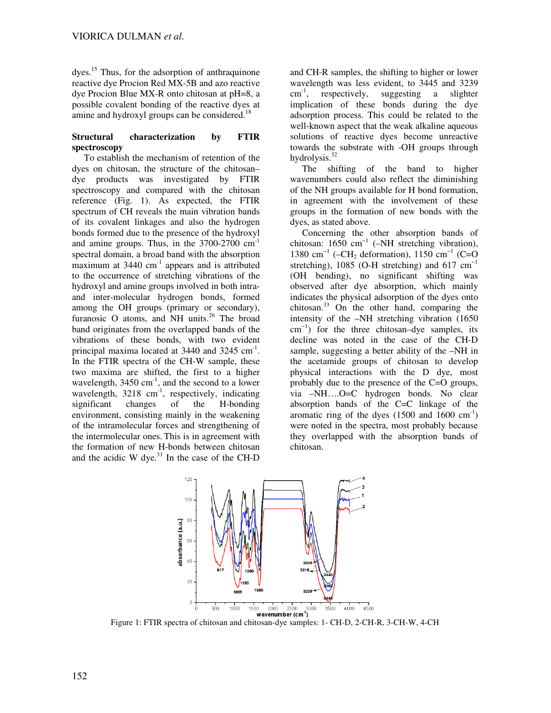dyes.<sup>15</sup> Thus, for the adsorption of anthraquinone reactive dye Procion Red MX-5B and azo reactive dye Procion Blue MX-R onto chitosan at pH=8, a possible covalent bonding of the reactive dyes at amine and hydroxyl groups can be considered.<sup>18</sup>

### **Structural characterization by FTIR spectroscopy**

To establish the mechanism of retention of the dyes on chitosan, the structure of the chitosan– dye products was investigated by FTIR spectroscopy and compared with the chitosan reference (Fig. 1). As expected, the FTIR spectrum of CH reveals the main vibration bands of its covalent linkages and also the hydrogen bonds formed due to the presence of the hydroxyl and amine groups. Thus, in the  $3700-2700$  cm<sup>-1</sup> spectral domain, a broad band with the absorption maximum at  $3440 \text{ cm}^{-1}$  appears and is attributed to the occurrence of stretching vibrations of the hydroxyl and amine groups involved in both intraand inter-molecular hydrogen bonds, formed among the OH groups (primary or secondary), furanosic O atoms, and NH units.<sup>26</sup> The broad band originates from the overlapped bands of the vibrations of these bonds, with two evident principal maxima located at  $3440$  and  $3245$  cm<sup>-1</sup>. In the FTIR spectra of the CH-W sample, these two maxima are shifted, the first to a higher wavelength,  $3450 \text{ cm}^{-1}$ , and the second to a lower wavelength,  $3218 \text{ cm}^{-1}$ , respectively, indicating significant changes of the H-bonding environment, consisting mainly in the weakening of the intramolecular forces and strengthening of the intermolecular ones. This is in agreement with the formation of new H-bonds between chitosan and the acidic W dye. $31$  In the case of the CH-D

and CH-R samples, the shifting to higher or lower wavelength was less evident, to 3445 and 3239  $cm^{-1}$ , respectively, suggesting a slighter implication of these bonds during the dye adsorption process. This could be related to the well-known aspect that the weak alkaline aqueous solutions of reactive dyes become unreactive towards the substrate with -OH groups through hydrolysis.<sup>32</sup>

The shifting of the band to higher wavenumbers could also reflect the diminishing of the NH groups available for H bond formation, in agreement with the involvement of these groups in the formation of new bonds with the dyes, as stated above.

Concerning the other absorption bands of chitosan: 1650 cm<sup>-1</sup> (-NH stretching vibration), 1380 cm<sup>-1</sup> (–CH<sub>2</sub> deformation), 1150 cm<sup>-1</sup> (C=O stretching), 1085 (O-H stretching) and 617 cm<sup>-1</sup> (OH bending), no significant shifting was observed after dye absorption, which mainly indicates the physical adsorption of the dyes onto chitosan.<sup>33</sup> On the other hand, comparing the intensity of the –NH stretching vibration (1650 cm −1) for the three chitosan–dye samples, its decline was noted in the case of the CH-D sample, suggesting a better ability of the –NH in the acetamide groups of chitosan to develop physical interactions with the D dye, most probably due to the presence of the C=O groups, via –NH….O=C hydrogen bonds. No clear absorption bands of the C=C linkage of the aromatic ring of the dyes  $(1500 \text{ and } 1600 \text{ cm}^{-1})$ were noted in the spectra, most probably because they overlapped with the absorption bands of chitosan.



Figure 1: FTIR spectra of chitosan and chitosan-dye samples: 1- CH-D, 2-CH-R, 3-CH-W, 4-CH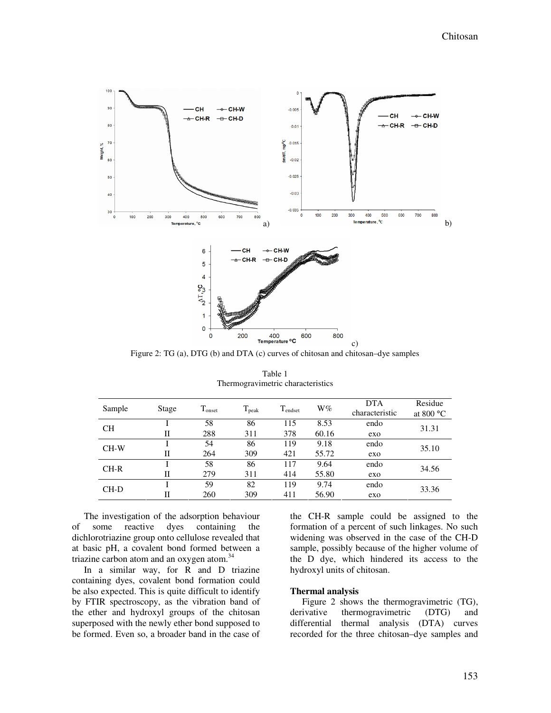

Figure 2: TG (a), DTG (b) and DTA (c) curves of chitosan and chitosan–dye samples

| Sample    | Stage        | $T_{onset}$ | $T_{\rm peak}$ | $T_{\text{endset}}$ | $W\%$ | <b>DTA</b><br>characteristic | Residue<br>at 800 $\degree$ C |  |
|-----------|--------------|-------------|----------------|---------------------|-------|------------------------------|-------------------------------|--|
| <b>CH</b> |              | 58          | 86             | 115                 | 8.53  | endo                         | 31.31                         |  |
|           | П            | 288         | 311            | 378                 | 60.16 | exo                          |                               |  |
| $CH-W$    |              | 54          | 86             | 119                 | 9.18  | endo                         | 35.10                         |  |
|           | $_{\rm II}$  | 264         | 309            | 421                 | 55.72 | exo                          |                               |  |
| $CH-R$    |              | 58          | 86             | 117                 | 9.64  | endo                         | 34.56                         |  |
|           | $\mathbf{I}$ | 279         | 311            | 414                 | 55.80 | exo                          |                               |  |
| $CH-D$    |              | 59          | 82             | 119                 | 9.74  | endo                         | 33.36                         |  |
|           | $_{\rm II}$  | 260         | 309            | 411                 | 56.90 | exo                          |                               |  |

Table 1 Thermogravimetric characteristics

The investigation of the adsorption behaviour of some reactive dyes containing the dichlorotriazine group onto cellulose revealed that at basic pH, a covalent bond formed between a triazine carbon atom and an oxygen atom.<sup>34</sup>

In a similar way, for R and D triazine containing dyes, covalent bond formation could be also expected. This is quite difficult to identify by FTIR spectroscopy, as the vibration band of the ether and hydroxyl groups of the chitosan superposed with the newly ether bond supposed to be formed. Even so, a broader band in the case of

the CH-R sample could be assigned to the formation of a percent of such linkages. No such widening was observed in the case of the CH-D sample, possibly because of the higher volume of the D dye, which hindered its access to the hydroxyl units of chitosan.

#### **Thermal analysis**

Figure 2 shows the thermogravimetric (TG), derivative thermogravimetric (DTG) and differential thermal analysis (DTA) curves recorded for the three chitosan–dye samples and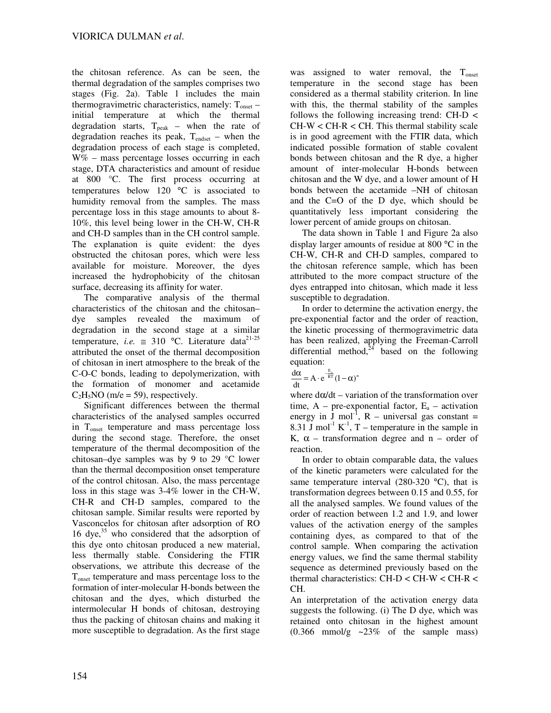the chitosan reference. As can be seen, the thermal degradation of the samples comprises two stages (Fig. 2a). Table 1 includes the main thermogravimetric characteristics, namely:  $T_{onset}$  – initial temperature at which the thermal degradation starts,  $T_{peak}$  – when the rate of degradation reaches its peak,  $T_{endset}$  – when the degradation process of each stage is completed, W% – mass percentage losses occurring in each stage, DTA characteristics and amount of residue at 800 °C. The first process occurring at temperatures below 120 °C is associated to humidity removal from the samples. The mass percentage loss in this stage amounts to about 8- 10%, this level being lower in the CH-W, CH-R and CH-D samples than in the CH control sample. The explanation is quite evident: the dyes obstructed the chitosan pores, which were less available for moisture. Moreover, the dyes increased the hydrophobicity of the chitosan surface, decreasing its affinity for water.

The comparative analysis of the thermal characteristics of the chitosan and the chitosan– dye samples revealed the maximum of degradation in the second stage at a similar temperature, *i.e.*  $\approx 310$  °C. Literature data<sup>21-25</sup> attributed the onset of the thermal decomposition of chitosan in inert atmosphere to the break of the C-O-C bonds, leading to depolymerization, with the formation of monomer and acetamide  $C_2H_5NO$  (m/e = 59), respectively.

Significant differences between the thermal characteristics of the analysed samples occurred in Tonset temperature and mass percentage loss during the second stage. Therefore, the onset temperature of the thermal decomposition of the chitosan–dye samples was by 9 to 29 °C lower than the thermal decomposition onset temperature of the control chitosan. Also, the mass percentage loss in this stage was 3-4% lower in the CH-W, CH-R and CH-D samples, compared to the chitosan sample. Similar results were reported by Vasconcelos for chitosan after adsorption of RO 16 dye, $35$  who considered that the adsorption of this dye onto chitosan produced a new material, less thermally stable. Considering the FTIR observations, we attribute this decrease of the T<sub>onset</sub> temperature and mass percentage loss to the formation of inter-molecular H-bonds between the chitosan and the dyes, which disturbed the intermolecular H bonds of chitosan, destroying thus the packing of chitosan chains and making it more susceptible to degradation. As the first stage

was assigned to water removal, the T<sub>onset</sub> temperature in the second stage has been considered as a thermal stability criterion. In line with this, the thermal stability of the samples follows the following increasing trend: CH-D <  $CH-W < CH-R < CH$ . This thermal stability scale is in good agreement with the FTIR data, which indicated possible formation of stable covalent bonds between chitosan and the R dye, a higher amount of inter-molecular H-bonds between chitosan and the W dye, and a lower amount of H bonds between the acetamide –NH of chitosan and the C=O of the D dye, which should be quantitatively less important considering the lower percent of amide groups on chitosan.

The data shown in Table 1 and Figure 2a also display larger amounts of residue at 800 °C in the CH-W, CH-R and CH-D samples, compared to the chitosan reference sample, which has been attributed to the more compact structure of the dyes entrapped into chitosan, which made it less susceptible to degradation.

In order to determine the activation energy, the pre-exponential factor and the order of reaction, the kinetic processing of thermogravimetric data has been realized, applying the Freeman-Carroll differential method, $24$  based on the following equation:

$$
\frac{d\alpha}{dt} = A \cdot e^{-\frac{E_a}{RT}} (1 - \alpha)^n
$$

where  $d\alpha/dt$  – variation of the transformation over time,  $A - pre-exponential factor$ ,  $E_a - activation$ energy in  $\bar{J}$  mol<sup>-1</sup>, R – universal gas constant = 8.31 J mol<sup>-1</sup> K<sup>-1</sup>, T – temperature in the sample in K,  $\alpha$  – transformation degree and n – order of reaction.

In order to obtain comparable data, the values of the kinetic parameters were calculated for the same temperature interval  $(280-320 \degree C)$ , that is transformation degrees between 0.15 and 0.55, for all the analysed samples. We found values of the order of reaction between 1.2 and 1.9, and lower values of the activation energy of the samples containing dyes, as compared to that of the control sample. When comparing the activation energy values, we find the same thermal stability sequence as determined previously based on the thermal characteristics: CH-D < CH-W < CH-R < CH.

An interpretation of the activation energy data suggests the following. (i) The D dye, which was retained onto chitosan in the highest amount  $(0.366 \text{ mmol/g} \sim 23\% \text{ of the sample mass})$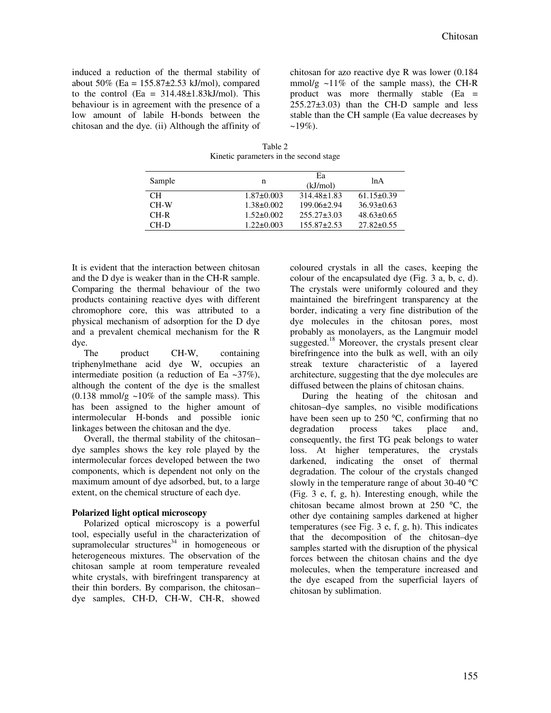induced a reduction of the thermal stability of about 50% (Ea =  $155.87 \pm 2.53$  kJ/mol), compared to the control  $(Ea = 314.48 \pm 1.83 \text{ kJ/mol})$ . This behaviour is in agreement with the presence of a low amount of labile H-bonds between the chitosan and the dye. (ii) Although the affinity of chitosan for azo reactive dye R was lower (0.184 mmol/g  $\sim$ 11% of the sample mass), the CH-R product was more thermally stable (Ea = 255.27±3.03) than the CH-D sample and less stable than the CH sample (Ea value decreases by  $~19\%$ ).

Table 2 Kinetic parameters in the second stage

| Sample | n                | Ea<br>(kJ/mol)    | 1n A             |
|--------|------------------|-------------------|------------------|
| CН     | $1.87 \pm 0.003$ | $314.48 \pm 1.83$ | $61.15 \pm 0.39$ |
| $CH-W$ | $1.38 \pm 0.002$ | $199.06 \pm 2.94$ | $36.93 \pm 0.63$ |
| $CH-R$ | $1.52 \pm 0.002$ | $255.27 \pm 3.03$ | $48.63 \pm 0.65$ |
| CH-D   | $1.22 \pm 0.003$ | $155.87 \pm 2.53$ | $27.82 \pm 0.55$ |
|        |                  |                   |                  |

It is evident that the interaction between chitosan and the D dye is weaker than in the CH-R sample. Comparing the thermal behaviour of the two products containing reactive dyes with different chromophore core, this was attributed to a physical mechanism of adsorption for the D dye and a prevalent chemical mechanism for the R dye.

The product CH-W, containing triphenylmethane acid dye W, occupies an intermediate position (a reduction of Ea  $\sim$ 37%), although the content of the dye is the smallest  $(0.138 \text{ mmol/g} \sim 10\% \text{ of the sample mass})$ . This has been assigned to the higher amount of intermolecular H-bonds and possible ionic linkages between the chitosan and the dye.

Overall, the thermal stability of the chitosan– dye samples shows the key role played by the intermolecular forces developed between the two components, which is dependent not only on the maximum amount of dye adsorbed, but, to a large extent, on the chemical structure of each dye.

#### **Polarized light optical microscopy**

Polarized optical microscopy is a powerful tool, especially useful in the characterization of supramolecular structures $34$  in homogeneous or heterogeneous mixtures. The observation of the chitosan sample at room temperature revealed white crystals, with birefringent transparency at their thin borders. By comparison, the chitosan– dye samples, CH-D, CH-W, CH-R, showed

coloured crystals in all the cases, keeping the colour of the encapsulated dye (Fig. 3 a, b, c, d). The crystals were uniformly coloured and they maintained the birefringent transparency at the border, indicating a very fine distribution of the dye molecules in the chitosan pores, most probably as monolayers, as the Langmuir model suggested.<sup>18</sup> Moreover, the crystals present clear birefringence into the bulk as well, with an oily streak texture characteristic of a layered architecture, suggesting that the dye molecules are diffused between the plains of chitosan chains.

During the heating of the chitosan and chitosan–dye samples, no visible modifications have been seen up to 250 °C, confirming that no degradation process takes place and, consequently, the first TG peak belongs to water loss. At higher temperatures, the crystals darkened, indicating the onset of thermal degradation. The colour of the crystals changed slowly in the temperature range of about 30-40 °C (Fig. 3 e, f, g, h). Interesting enough, while the chitosan became almost brown at 250 °C, the other dye containing samples darkened at higher temperatures (see Fig. 3 e, f, g, h). This indicates that the decomposition of the chitosan–dye samples started with the disruption of the physical forces between the chitosan chains and the dye molecules, when the temperature increased and the dye escaped from the superficial layers of chitosan by sublimation.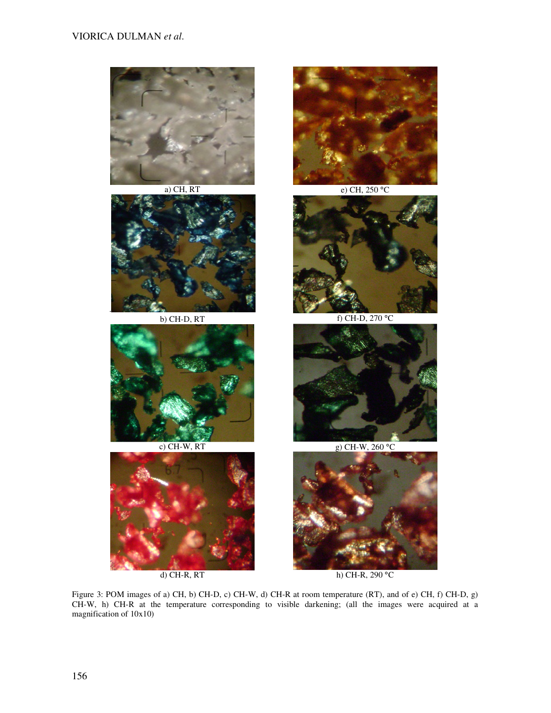





b) CH-D, RT f) CH-D, 270 °C







a) CH, RT e) CH, 250 °C





c) CH-W, RT g) CH-W, 260 °C



d) CH-R, RT h) CH-R, 290 °C

Figure 3: POM images of a) CH, b) CH-D, c) CH-W, d) CH-R at room temperature (RT), and of e) CH, f) CH-D, g) CH-W, h) CH-R at the temperature corresponding to visible darkening; (all the images were acquired at a magnification of 10x10)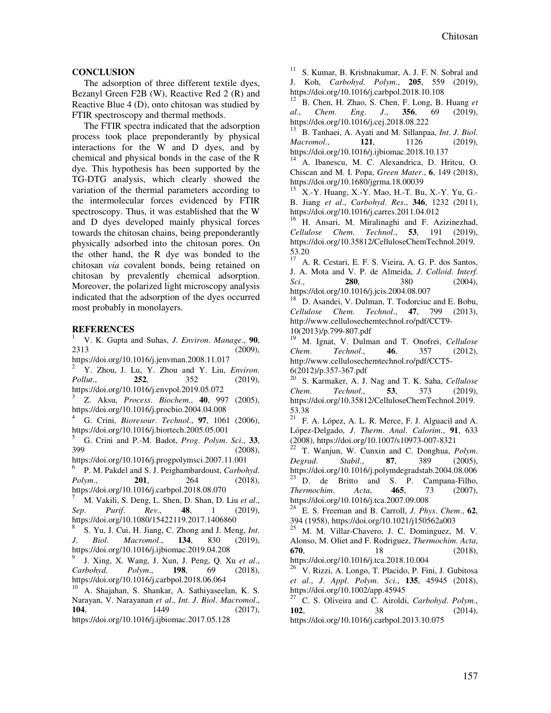## **CONCLUSION**

The adsorption of three different textile dyes, Bezanyl Green F2B (W), Reactive Red 2 (R) and Reactive Blue 4 (D), onto chitosan was studied by FTIR spectroscopy and thermal methods.

The FTIR spectra indicated that the adsorption process took place preponderantly by physical interactions for the W and D dyes, and by chemical and physical bonds in the case of the R dye. This hypothesis has been supported by the TG-DTG analysis, which clearly showed the variation of the thermal parameters according to the intermolecular forces evidenced by FTIR spectroscopy. Thus, it was established that the W and D dyes developed mainly physical forces towards the chitosan chains, being preponderantly physically adsorbed into the chitosan pores. On the other hand, the R dye was bonded to the chitosan *via* covalent bonds, being retained on chitosan by prevalently chemical adsorption. Moreover, the polarized light microscopy analysis indicated that the adsorption of the dyes occurred most probably in monolayers.

## **REFERENCES**

<sup>1</sup> V. K. Gupta and Suhas, *J*. *Environ*. *Manage*., **90**, 2313 (2009),

https://doi.org/10.1016/j.jenvman.2008.11.017

<sup>2</sup> Y. Zhou, J. Lu, Y. Zhou and Y. Liu, *Environ*. *Pollut*., **252**, 352 (2019), https://doi.org/10.1016/j.envpol.2019.05.072

3 Z. Aksu, *Process*. *Biochem*., **40**, 997 (2005), https://doi.org/10.1016/j.procbio.2004.04.008

<sup>4</sup> G. Crini, *Bioresour*. *Technol*., **97**, 1061 (2006), https://doi.org/10.1016/j.biortech.2005.05.001

<sup>5</sup> G. Crini and P.-M. Badot, *Prog*. *Polym*. *Sci*., **33**,  $(2008),$ 

https://doi.org/10.1016/j.progpolymsci.2007.11.001 6 P. M. Pakdel and S. J. Peighambardoust, *Carbohyd*.

*Polym*., **201**, 264 (2018), https://doi.org/10.1016/j.carbpol.2018.08.070

<sup>7</sup> M. Vakili, S. Deng, L. Shen, D. Shan, D. Liu *et al*., *Sep*. *Purif*. *Rev*., **48**, 1 (2019), https://doi.org/10.1080/15422119.2017.1406860

8 S. Yu, J. Cui, H. Jiang, C. Zhong and J. Meng, *Int*. *J*. *Biol*. *Macromol*., **134**, 830 (2019), https://doi.org/10.1016/j.ijbiomac.2019.04.208

9 J. Xing, X. Wang, J. Xun, J. Peng, Q. Xu *et al*., *Carbohyd*. *Polym*., **198**, 69 (2018), https://doi.org/10.1016/j.carbpol.2018.06.064

<sup>10</sup> A. Shajahan, S. Shankar, A. Sathiyaseelan, K. S. Narayan, V. Narayanan *et al*., *Int*. *J*. *Biol*. *Macromol*., **104**, 1449 (2017),

https://doi.org/10.1016/j.ijbiomac.2017.05.128

<sup>11</sup> S. Kumar, B. Krishnakumar, A. J. F. N. Sobral and J. Koh, *Carbohyd*. *Polym*., **205**, 559 (2019), https://doi.org/10.1016/j.carbpol.2018.10.108

<sup>12</sup> B. Chen, H. Zhao, S. Chen, F. Long, B. Huang *et al*., *Chem*. *Eng*. *J*., **356**, 69 (2019), https://doi.org/10.1016/j.cej.2018.08.222

<sup>13</sup> B. Tanhaei, A. Ayati and M. Sillanpaa, *Int*. *J*. *Biol*. *Macromol*., **121**, 1126 (2019), https://doi.org/10.1016/j.ijbiomac.2018.10.137

<sup>14</sup> A. Ibanescu, M. C. Alexandrica, D. Hritcu, O. Chiscan and M. I. Popa, *Green Mater*., **6**, 149 (2018), https://doi.org/10.1680/jgrma.18.00039

<sup>15</sup> X.-Y. Huang, X.-Y. Mao, H.-T. Bu, X.-Y. Yu, G.- B. Jiang *et al*., *Carbohyd*. *Res*., **346**, 1232 (2011), https://doi.org/10.1016/j.carres.2011.04.012

<sup>16</sup> H. Ansari, M. Miralinaghi and F. Azizinezhad, *Cellulose Chem*. *Technol*., **53**, 191 (2019), https://doi.org/10.35812/CelluloseChemTechnol.2019. 53.20

<sup>17</sup> A. R. Cestari, E. F. S. Vieira, A. G. P. dos Santos, J. A. Mota and V. P. de Almeida, *J*. *Colloid*. *Interf*. *Sci*., **280**, 380 (2004), https://doi.org/10.1016/j.jcis.2004.08.007

<sup>18</sup> D. Asandei, V. Dulman, T. Todorciuc and E. Bobu, *Cellulose Chem*. *Technol*., **47**, 799 (2013), http://www.cellulosechemtechnol.ro/pdf/CCT9- 10(2013)/p.799-807.pdf

<sup>19</sup> M. Ignat, V. Dulman and T. Onofrei, *Cellulose Chem*. *Technol*., **46**, 357 (2012), http://www.cellulosechemtechnol.ro/pdf/CCT5- 6(2012)/p.357-367.pdf

<sup>20</sup> S. Karmaker, A. J. Nag and T. K. Saha, *Cellulose Chem*. *Technol*., **53**, 373 (2019), https://doi.org/10.35812/CelluloseChemTechnol.2019. 53.38

<sup>21</sup> F. A. López, A. L. R. Merce, F. J. Alguacil and A. López-Delgado, *J*. *Therm*. *Anal*. *Calorim*., **91**, 633 (2008), https://doi.org/10.1007/s10973-007-8321

<sup>22</sup> T. Wanjun, W. Cunxin and C. Donghua, *Polym*. *Degrad*. *Stabil*., **87**, 389 (2005), https://doi.org/10.1016/j.polymdegradstab.2004.08.006 D. de Britto and S. P. Campana-Filho, *Thermochim*. *Acta*, **465**, 73 (2007), https://doi.org/10.1016/j.tca.2007.09.008

<sup>24</sup> E. S. Freeman and B. Carroll, *J*. *Phys*. *Chem*., **62**, 394 (1958), https://doi.org/10.1021/j150562a003

<sup>25</sup> M. M. Villar-Chavero, J. C. Dominguez, M. V. Alonso, M. Oliet and F. Rodriguez, *Thermochim*. *Acta*, **670**, 18 (2018),

https://doi.org/10.1016/j.tca.2018.10.004

<sup>26</sup> V. Rizzi, A. Longo, T. Placido, P. Fini, J. Gubitosa *et al*., *J*. *Appl*. *Polym*. *Sci*., **135**, 45945 (2018), https://doi.org/10.1002/app.45945

<sup>27</sup> C. S. Oliveira and C. Airoldi, *Carbohyd*. *Polym*., **102**, 38 (2014),

https://doi.org/10.1016/j.carbpol.2013.10.075